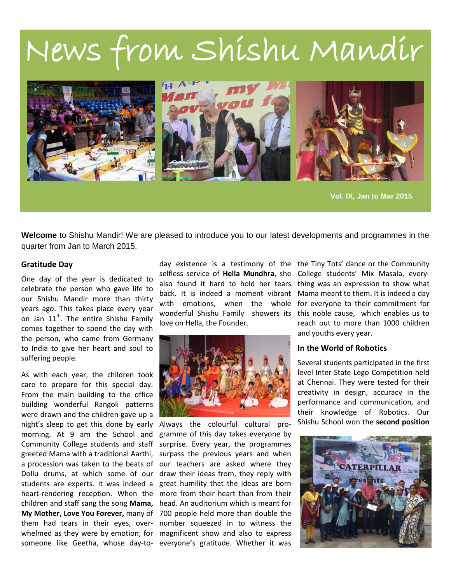# News from Shishu Mandir



**Vol. IX, Jan to Mar 2015**

**Welcome** to Shishu Mandir! We are pleased to introduce you to our latest developments and programmes in the quarter from Jan to March 2015.

#### **Gratitude Day**

One day of the year is dedicated to celebrate the person who gave life to our Shishu Mandir more than thirty years ago. This takes place every year on Jan 11<sup>th</sup>. The entire Shishu Family comes together to spend the day with the person, who came from Germany to India to give her heart and soul to suffering people.

As with each year, the children took care to prepare for this special day. From the main building to the office building wonderful Rangoli patterns were drawn and the children gave up a night's sleep to get this done by early morning. At 9 am the School and Community College students and staff greeted Mama with a traditional Aarthi, students are experts. It was indeed a someone like Geetha, whose day-to-everyone's gratitude. Whether it was

day existence is a testimony of the the Tiny Tots' dance or the Community selfless service of **Hella Mundhra**, she College students' Mix Masala, everylove on Hella, the Founder.



a procession was taken to the beats of our teachers are asked where they Dollu drums, at which some of our draw their ideas from, they reply with heart-rendering reception. When the more from their heart than from their children and staff sang the song **Mama,**  head. An auditorium which is meant for **My Mother, Love You Forever,** many of 700 people held more than double the them had tears in their eyes, over-number squeezed in to witness the whelmed as they were by emotion; for magnificent show and also to express Always the colourful cultural programme of this day takes everyone by surprise. Every year, the programmes surpass the previous years and when great humility that the ideas are born

also found it hard to hold her tears thing was an expression to show what back. It is indeed a moment vibrant Mama meant to them. It is indeed a day with emotions, when the whole for everyone to their commitment for wonderful Shishu Family showers its this noble cause, which enables us to reach out to more than 1000 children and youths every year.

#### **In the World of Robotics**

Several students participated in the first level Inter-State Lego Competition held at Chennai. They were tested for their creativity in design, accuracy in the performance and communication, and their knowledge of Robotics. Our Shishu School won the **second position** 

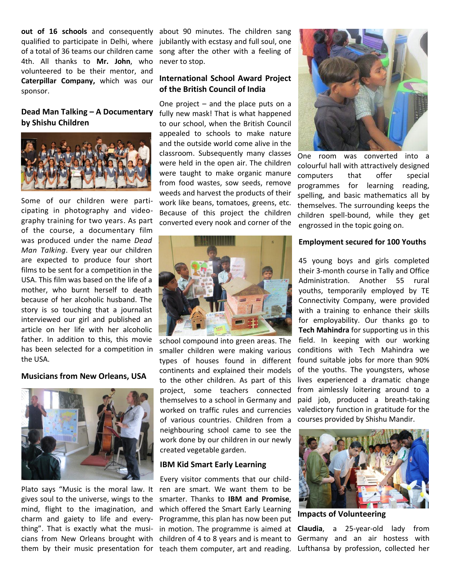**out of 16 schools** and consequently about 90 minutes. The children sang qualified to participate in Delhi, where jubilantly with ecstasy and full soul, one of a total of 36 teams our children came song after the other with a feeling of 4th. All thanks to **Mr. John**, who volunteered to be their mentor, and **Caterpillar Company,** which was our **International School Award Project**  sponsor.

## **by Shishu Children**



Some of our children were participating in photography and videography training for two years. As part of the course, a documentary film was produced under the name *Dead Man Talking*. Every year our children are expected to produce four short films to be sent for a competition in the USA. This film was based on the life of a mother, who burnt herself to death because of her alcoholic husband. The story is so touching that a journalist interviewed our girl and published an article on her life with her alcoholic father. In addition to this, this movie has been selected for a competition in the USA.

#### **Musicians from New Orleans, USA**



gives soul to the universe, wings to the mind, flight to the imagination, and which offered the Smart Early Learning charm and gaiety to life and everything". That is exactly what the musi- in motion. The programme is aimed at **Claudia**, a 25-year-old lady from cians from New Orleans brought with children of 4 to 8 years and is meant to

never to stop.

### **of the British Council of India**

**Dead Man Talking – A Documentary**  fully new mask! That is what happened One project – and the place puts on a to our school, when the British Council appealed to schools to make nature and the outside world come alive in the classroom. Subsequently many classes were held in the open air. The children were taught to make organic manure from food wastes, sow seeds, remove weeds and harvest the products of their work like beans, tomatoes, greens, etc. Because of this project the children converted every nook and corner of the



school compound into green areas. The smaller children were making various types of houses found in different continents and explained their models to the other children. As part of this themselves to a school in Germany and worked on traffic rules and currencies of various countries. Children from a neighbouring school came to see the work done by our children in our newly created vegetable garden.

#### **IBM Kid Smart Early Learning**

Plato says "Music is the moral law. It ren are smart. We want them to be them by their music presentation for teach them computer, art and reading. Every visitor comments that our childsmarter. Thanks to **IBM and Promise**, Programme, this plan has now been put



One room was converted into a colourful hall with attractively designed computers that offer special programmes for learning reading, spelling, and basic mathematics all by themselves. The surrounding keeps the children spell-bound, while they get engrossed in the topic going on.

#### **Employment secured for 100 Youths**

project, some teachers connected from aimlessly loitering around to a 45 young boys and girls completed their 3-month course in Tally and Office Administration. Another 55 rural youths, temporarily employed by TE Connectivity Company, were provided with a training to enhance their skills for employability. Our thanks go to **Tech Mahindra** for supporting us in this field. In keeping with our working conditions with Tech Mahindra we found suitable jobs for more than 90% of the youths. The youngsters, whose lives experienced a dramatic change paid job, produced a breath-taking valedictory function in gratitude for the courses provided by Shishu Mandir.



**Impacts of Volunteering**

Germany and an air hostess with Lufthansa by profession, collected her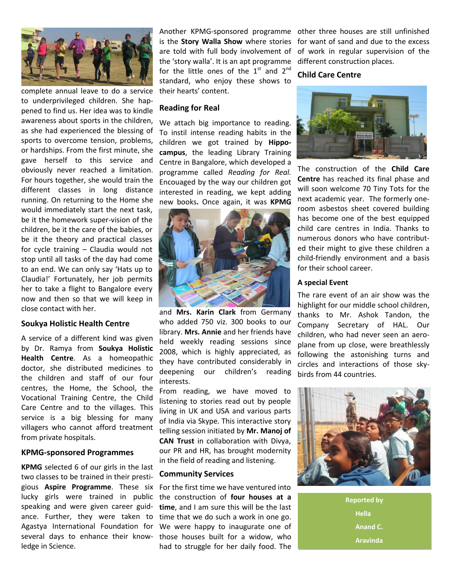

complete annual leave to do a service to underprivileged children. She happened to find us. Her idea was to kindle awareness about sports in the children, as she had experienced the blessing of sports to overcome tension, problems, or hardships. From the first minute, she gave herself to this service and obviously never reached a limitation. For hours together, she would train the different classes in long distance running. On returning to the Home she would immediately start the next task, be it the homework super-vision of the children, be it the care of the babies, or be it the theory and practical classes for cycle training – Claudia would not stop until all tasks of the day had come to an end. We can only say 'Hats up to Claudia!' Fortunately, her job permits her to take a flight to Bangalore every now and then so that we will keep in close contact with her.

#### **Soukya Holistic Health Centre**

A service of a different kind was given by Dr. Ramya from **Soukya Holistic Health Centre**. As a homeopathic doctor, she distributed medicines to the children and staff of our four centres, the Home, the School, the Vocational Training Centre, the Child Care Centre and to the villages. This service is a big blessing for many villagers who cannot afford treatment from private hospitals.

#### **KPMG-sponsored Programmes**

**KPMG** selected 6 of our girls in the last two classes to be trained in their prestigious **Aspire Programme**. These six lucky girls were trained in public speaking and were given career guidance. Further, they were taken to Agastya International Foundation for several days to enhance their knowledge in Science.

are told with full body involvement of the 'story walla'. It is an apt programme for the little ones of the  $1<sup>st</sup>$  and  $2<sup>nd</sup>$ standard, who enjoy these shows to their hearts' content.

#### **Reading for Real**

We attach big importance to reading. To instil intense reading habits in the children we got trained by **Hippocampus**, the leading Library Training Centre in Bangalore, which developed a programme called *Reading for Real.* Encouaged by the way our children got interested in reading, we kept adding new books**.** Once again, it was **KPMG**



and **Mrs. Karin Clark** from Germany who added 750 viz. 300 books to our library. **Mrs. Annie** and her friends have held weekly reading sessions since 2008, which is highly appreciated, as they have contributed considerably in deepening our children's reading interests.

From reading, we have moved to listening to stories read out by people living in UK and USA and various parts of India via Skype. This interactive story telling session initiated by **Mr. Manoj of CAN Trust** in collaboration with Divya, our PR and HR, has brought modernity in the field of reading and listening.

#### **Community Services**

For the first time we have ventured into the construction of **four houses at a time**, and I am sure this will be the last time that we do such a work in one go. We were happy to inaugurate one of those houses built for a widow, who had to struggle for her daily food. The

Another KPMG-sponsored programme other three houses are still unfinished is the **Story Walla Show** where stories for want of sand and due to the excess of work in regular supervision of the different construction places.

#### **Child Care Centre**



The construction of the **Child Care Centre** has reached its final phase and will soon welcome 70 Tiny Tots for the next academic year. The formerly oneroom asbestos sheet covered building has become one of the best equipped child care centres in India. Thanks to numerous donors who have contributed their might to give these children a child-friendly environment and a basis for their school career.

#### **A special Event**

The rare event of an air show was the highlight for our middle school children, thanks to Mr. Ashok Tandon, the Company Secretary of HAL. Our children, who had never seen an aeroplane from up close, were breathlessly following the astonishing turns and circles and interactions of those skybirds from 44 countries.



**Reported by Hella Anand C. Aravinda**